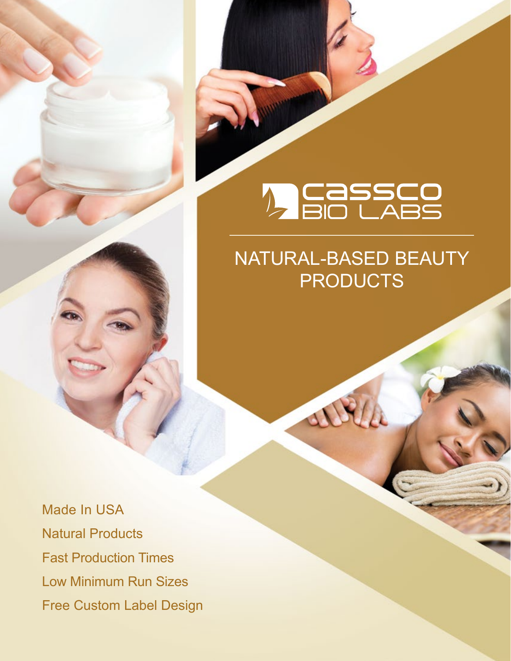# *D* Cassco

# NATURAL-BASED BEAUTY **PRODUCTS**

 $\Delta$ 

Made In USA Natural Products Fast Production Times Low Minimum Run Sizes Free Custom Label Design